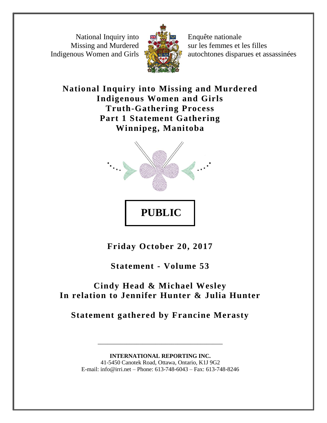National Inquiry into Missing and Murdered Indigenous Women and Girls



Enquête nationale sur les femmes et les filles autochtones disparues et assassinées

**National Inquiry into Missing and Murdered Indigenous Women and Girls Truth-Gathering Process Part 1 Statement Gathering Winnipeg, Manitoba**



**Friday October 20, 2017**

**Statement - Volume 53**

# **Cindy Head & Michael Wesley In relation to Jennifer Hunter & Julia Hunter**

**Statement gathered by Francine Merasty**

# **INTERNATIONAL REPORTING INC.** 41-5450 Canotek Road, Ottawa, Ontario, K1J 9G2 E-mail: info@irri.net – Phone: 613-748-6043 – Fax: 613-748-8246

\_\_\_\_\_\_\_\_\_\_\_\_\_\_\_\_\_\_\_\_\_\_\_\_\_\_\_\_\_\_\_\_\_\_\_\_\_\_\_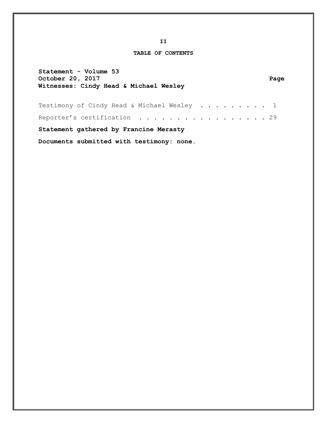**II**

# **TABLE OF CONTENTS**

| Statement - Volume 53<br>October 20, 2017<br>Witnesses: Cindy Head & Michael Wesley | Page |
|-------------------------------------------------------------------------------------|------|
| Testimony of Cindy Head & Michael Wesley 1                                          |      |
| Reporter's certification 29                                                         |      |
| Statement gathered by Francine Merasty                                              |      |
| Documents submitted with testimony: none.                                           |      |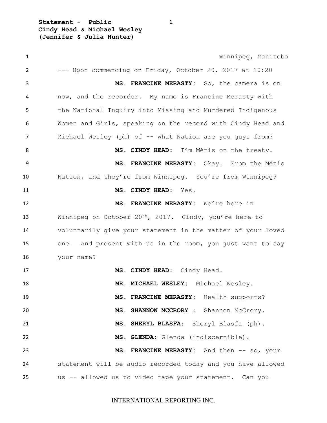**Statement - Public 1 Cindy Head & Michael Wesley (Jennifer & Julia Hunter)**

 Winnipeg, Manitoba --- Upon commencing on Friday, October 20, 2017 at 10:20 **MS. FRANCINE MERASTY:** So, the camera is on now, and the recorder. My name is Francine Merasty with the National Inquiry into Missing and Murdered Indigenous Women and Girls, speaking on the record with Cindy Head and 7 Michael Wesley (ph) of -- what Nation are you quys from? 8 MS. CINDY HEAD: I'm Métis on the treaty. **MS. FRANCINE MERASTY:** Okay. From the Métis Nation, and they're from Winnipeg. You're from Winnipeg? **MS. CINDY HEAD**: Yes. **MS. FRANCINE MERASTY:** We're here in 13 Winnipeg on October 20<sup>th</sup>, 2017. Cindy, you're here to voluntarily give your statement in the matter of your loved one. And present with us in the room, you just want to say your name? 17 MS. CINDY HEAD: Cindy Head. **MR. MICHAEL WESLEY:** Michael Wesley. **MS. FRANCINE MERASTY:** Health supports? **MS. SHANNON MCCRORY** : Shannon McCrory. **MS. SHERYL BLASFA**: Sheryl Blasfa (ph). **MS. GLENDA:** Glenda (indiscernible). **MS. FRANCINE MERASTY:** And then -- so, your statement will be audio recorded today and you have allowed us -- allowed us to video tape your statement. Can you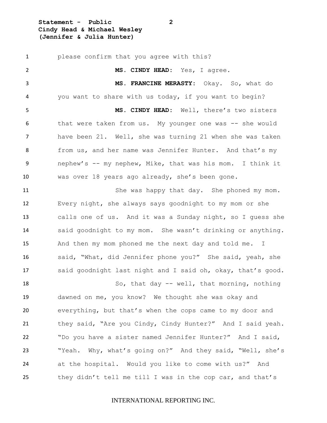**Statement - Public 2 Cindy Head & Michael Wesley (Jennifer & Julia Hunter)**

 please confirm that you agree with this? **MS. CINDY HEAD:** Yes, I agree. **MS. FRANCINE MERASTY:** Okay. So, what do you want to share with us today, if you want to begin? **MS. CINDY HEAD:** Well, there's two sisters that were taken from us. My younger one was -- she would have been 21. Well, she was turning 21 when she was taken 8 from us, and her name was Jennifer Hunter. And that's my nephew's -- my nephew, Mike, that was his mom. I think it was over 18 years ago already, she's been gone. She was happy that day. She phoned my mom. Every night, she always says goodnight to my mom or she calls one of us. And it was a Sunday night, so I guess she said goodnight to my mom. She wasn't drinking or anything. 15 And then my mom phoned me the next day and told me. I said, "What, did Jennifer phone you?" She said, yeah, she said goodnight last night and I said oh, okay, that's good. So, that day -- well, that morning, nothing dawned on me, you know? We thought she was okay and everything, but that's when the cops came to my door and 21 they said, "Are you Cindy, Cindy Hunter?" And I said yeah. "Do you have a sister named Jennifer Hunter?" And I said, "Yeah. Why, what's going on?" And they said, "Well, she's at the hospital. Would you like to come with us?" And they didn't tell me till I was in the cop car, and that's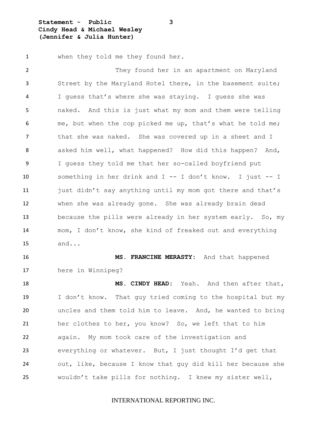**Statement - Public 3 Cindy Head & Michael Wesley (Jennifer & Julia Hunter)**

when they told me they found her.

2 They found her in an apartment on Maryland Street by the Maryland Hotel there, in the basement suite; I guess that's where she was staying. I guess she was naked. And this is just what my mom and them were telling 6 me, but when the cop picked me up, that's what he told me; 7 that she was naked. She was covered up in a sheet and I asked him well, what happened? How did this happen? And, I guess they told me that her so-called boyfriend put something in her drink and I -- I don't know. I just -- I 11 just didn't say anything until my mom got there and that's when she was already gone. She was already brain dead because the pills were already in her system early. So, my mom, I don't know, she kind of freaked out and everything and...

 **MS. FRANCINE MERASTY:** And that happened here in Winnipeg?

 **MS. CINDY HEAD:** Yeah. And then after that, I don't know. That guy tried coming to the hospital but my uncles and them told him to leave. And, he wanted to bring her clothes to her, you know? So, we left that to him again. My mom took care of the investigation and everything or whatever. But, I just thought I'd get that out, like, because I know that guy did kill her because she wouldn't take pills for nothing. I knew my sister well,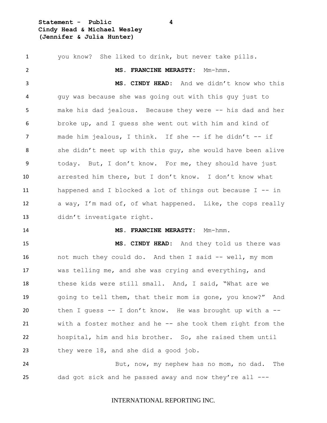**Statement - Public 4 Cindy Head & Michael Wesley (Jennifer & Julia Hunter)**

 you know? She liked to drink, but never take pills. **MS. FRANCINE MERASTY:** Mm-hmm. **MS. CINDY HEAD:** And we didn't know who this guy was because she was going out with this guy just to make his dad jealous. Because they were -- his dad and her broke up, and I guess she went out with him and kind of 7 made him jealous, I think. If she -- if he didn't -- if she didn't meet up with this guy, she would have been alive today. But, I don't know. For me, they should have just arrested him there, but I don't know. I don't know what happened and I blocked a lot of things out because I -- in a way, I'm mad of, of what happened. Like, the cops really didn't investigate right. **MS. FRANCINE MERASTY:** Mm-hmm. **MS. CINDY HEAD:** And they told us there was not much they could do. And then I said -- well, my mom was telling me, and she was crying and everything, and these kids were still small. And, I said, "What are we going to tell them, that their mom is gone, you know?" And then I guess -- I don't know. He was brought up with a -- 21 with a foster mother and he -- she took them right from the hospital, him and his brother. So, she raised them until they were 18, and she did a good job. But, now, my nephew has no mom, no dad. The dad got sick and he passed away and now they're all ---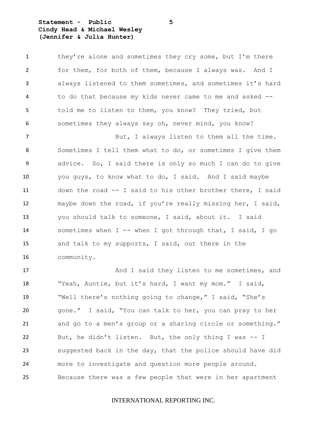**Statement - Public 5 Cindy Head & Michael Wesley (Jennifer & Julia Hunter)**

| $\mathbf{1}$ | they're alone and sometimes they cry some, but I'm there   |
|--------------|------------------------------------------------------------|
| 2            | for them, for both of them, because I always was. And I    |
| 3            | always listened to them sometimes, and sometimes it's hard |
| 4            | to do that because my kids never came to me and asked --   |
| 5            | told me to listen to them, you know? They tried, but       |
| 6            | sometimes they always say oh, never mind, you know?        |
| 7            | But, I always listen to them all the time.                 |
| 8            | Sometimes I tell them what to do, or sometimes I give them |
| 9            | advice. So, I said there is only so much I can do to give  |
| 10           | you guys, to know what to do, I said. And I said maybe     |
| 11           | down the road -- I said to his other brother there, I said |
| 12           | maybe down the road, if you're really missing her, I said, |
| 13           | you should talk to someone, I said, about it. I said       |
| 14           | sometimes when I -- when I got through that, I said, I go  |
| 15           | and talk to my supports, I said, out there in the          |
| 16           | community.                                                 |
| 17           | And I said they listen to me sometimes, and                |
|              |                                                            |

 "Yeah, Auntie, but it's hard, I want my mom." I said, "Well there's nothing going to change," I said, "She's gone." I said, "You can talk to her, you can pray to her and go to a men's group or a sharing circle or something." But, he didn't listen. But, the only thing I was -- I suggested back in the day, that the police should have did more to investigate and question more people around. Because there was a few people that were in her apartment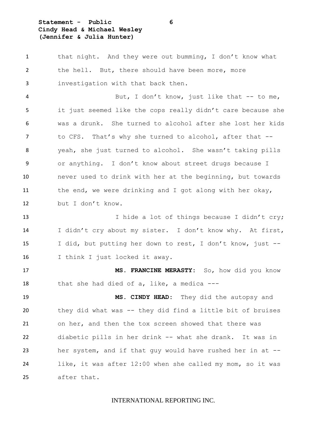# **Statement - Public 6 Cindy Head & Michael Wesley (Jennifer & Julia Hunter)**

 that night. And they were out bumming, I don't know what 2 the hell. But, there should have been more, more investigation with that back then. 4 But, I don't know, just like that -- to me, it just seemed like the cops really didn't care because she was a drunk. She turned to alcohol after she lost her kids 7 to CFS. That's why she turned to alcohol, after that -- yeah, she just turned to alcohol. She wasn't taking pills or anything. I don't know about street drugs because I never used to drink with her at the beginning, but towards the end, we were drinking and I got along with her okay, but I don't know. 13 I hide a lot of things because I didn't cry; I didn't cry about my sister. I don't know why. At first, I did, but putting her down to rest, I don't know, just -- I think I just locked it away. **MS. FRANCINE MERASTY:** So, how did you know that she had died of a, like, a medica --- **MS. CINDY HEAD:** They did the autopsy and they did what was -- they did find a little bit of bruises on her, and then the tox screen showed that there was diabetic pills in her drink -- what she drank. It was in her system, and if that guy would have rushed her in at -- like, it was after 12:00 when she called my mom, so it was after that.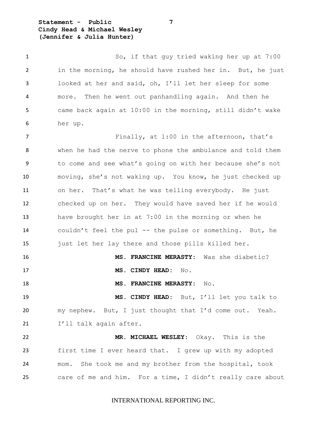**Statement - Public 7 Cindy Head & Michael Wesley (Jennifer & Julia Hunter)**

1 So, if that guy tried waking her up at 7:00 in the morning, he should have rushed her in. But, he just looked at her and said, oh, I'll let her sleep for some more. Then he went out panhandling again. And then he came back again at 10:00 in the morning, still didn't wake her up.

7 Finally, at 1:00 in the afternoon, that's when he had the nerve to phone the ambulance and told them to come and see what's going on with her because she's not moving, she's not waking up. You know, he just checked up on her. That's what he was telling everybody. He just checked up on her. They would have saved her if he would have brought her in at 7:00 in the morning or when he couldn't feel the pul -- the pulse or something. But, he just let her lay there and those pills killed her.

 **MS. FRANCINE MERASTY:** Was she diabetic? 17 MS. CINDY HEAD: No. **MS. FRANCINE MERASTY:** No.

 **MS. CINDY HEAD:** But, I'll let you talk to my nephew. But, I just thought that I'd come out. Yeah. 21 I'll talk again after.

 **MR. MICHAEL WESLEY:** Okay. This is the first time I ever heard that. I grew up with my adopted mom. She took me and my brother from the hospital, took care of me and him. For a time, I didn't really care about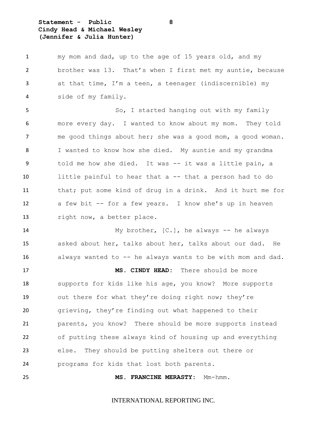# **Statement - Public 8 Cindy Head & Michael Wesley (Jennifer & Julia Hunter)**

 my mom and dad, up to the age of 15 years old, and my brother was 13. That's when I first met my auntie, because at that time, I'm a teen, a teenager (indiscernible) my side of my family. So, I started hanging out with my family more every day. I wanted to know about my mom. They told me good things about her; she was a good mom, a good woman. I wanted to know how she died. My auntie and my grandma 9 told me how she died. It was -- it was a little pain, a 10 little painful to hear that a -- that a person had to do that; put some kind of drug in a drink. And it hurt me for a few bit -- for a few years. I know she's up in heaven 13 right now, a better place. 14 My brother, [C.], he always -- he always asked about her, talks about her, talks about our dad. He

 always wanted to -- he always wants to be with mom and dad. **MS. CINDY HEAD:** There should be more supports for kids like his age, you know? More supports out there for what they're doing right now; they're grieving, they're finding out what happened to their parents, you know? There should be more supports instead of putting these always kind of housing up and everything else. They should be putting shelters out there or programs for kids that lost both parents.

**MS. FRANCINE MERASTY:** Mm-hmm.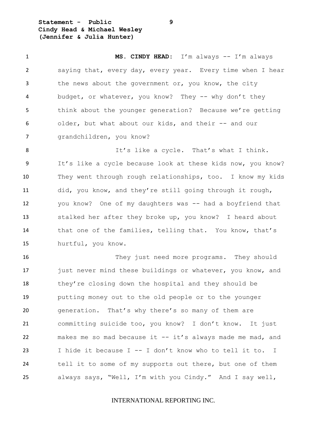**Statement - Public 9 Cindy Head & Michael Wesley (Jennifer & Julia Hunter)**

 **MS. CINDY HEAD:** I'm always -- I'm always saying that, every day, every year. Every time when I hear 3 the news about the government or, you know, the city 4 budget, or whatever, you know? They -- why don't they think about the younger generation? Because we're getting older, but what about our kids, and their -- and our grandchildren, you know? 8 It's like a cycle. That's what I think. It's like a cycle because look at these kids now, you know? They went through rough relationships, too. I know my kids did, you know, and they're still going through it rough, you know? One of my daughters was -- had a boyfriend that stalked her after they broke up, you know? I heard about that one of the families, telling that. You know, that's hurtful, you know. They just need more programs. They should 17 just never mind these buildings or whatever, you know, and 18 they're closing down the hospital and they should be putting money out to the old people or to the younger

 generation. That's why there's so many of them are committing suicide too, you know? I don't know. It just makes me so mad because it -- it's always made me mad, and I hide it because I -- I don't know who to tell it to. I tell it to some of my supports out there, but one of them always says, "Well, I'm with you Cindy." And I say well,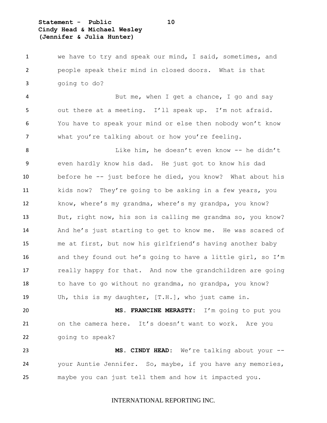**Statement - Public 10 Cindy Head & Michael Wesley (Jennifer & Julia Hunter)**

 we have to try and speak our mind, I said, sometimes, and people speak their mind in closed doors. What is that going to do?

4 But me, when I get a chance, I go and say out there at a meeting. I'll speak up. I'm not afraid. You have to speak your mind or else then nobody won't know what you're talking about or how you're feeling.

8 Like him, he doesn't even know -- he didn't even hardly know his dad. He just got to know his dad before he -- just before he died, you know? What about his kids now? They're going to be asking in a few years, you know, where's my grandma, where's my grandpa, you know? But, right now, his son is calling me grandma so, you know? And he's just starting to get to know me. He was scared of me at first, but now his girlfriend's having another baby and they found out he's going to have a little girl, so I'm 17 really happy for that. And now the grandchildren are going 18 to have to go without no grandma, no grandpa, you know? Uh, this is my daughter, [T.H.], who just came in.

 **MS. FRANCINE MERASTY:** I'm going to put you on the camera here. It's doesn't want to work. Are you going to speak?

 **MS. CINDY HEAD:** We're talking about your -- your Auntie Jennifer. So, maybe, if you have any memories, maybe you can just tell them and how it impacted you.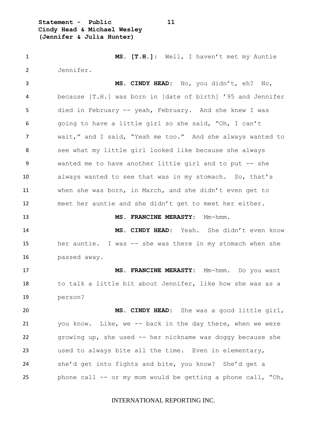**Statement - Public 11 Cindy Head & Michael Wesley (Jennifer & Julia Hunter)**

 **MS. [T.H.]**: Well, I haven't met my Auntie Jennifer.

 **MS. CINDY HEAD:** No, you didn't, eh? No, because [T.H.] was born in [date of birth] '95 and Jennifer died in February -- yeah, February. And she knew I was going to have a little girl so she said, "Oh, I can't wait," and I said, "Yeah me too." And she always wanted to see what my little girl looked like because she always wanted me to have another little girl and to put -- she always wanted to see that was in my stomach. So, that's when she was born, in March, and she didn't even get to meet her auntie and she didn't get to meet her either.

**MS. FRANCINE MERASTY:** Mm-hmm.

 **MS. CINDY HEAD:** Yeah. She didn't even know her auntie. I was -- she was there in my stomach when she passed away.

 **MS. FRANCINE MERASTY:** Mm-hmm. Do you want 18 to talk a little bit about Jennifer, like how she was as a person?

 **MS. CINDY HEAD:** She was a good little girl, you know. Like, we -- back in the day there, when we were growing up, she used -- her nickname was doggy because she used to always bite all the time. Even in elementary, she'd get into fights and bite, you know? She'd get a phone call -- or my mom would be getting a phone call, "Oh,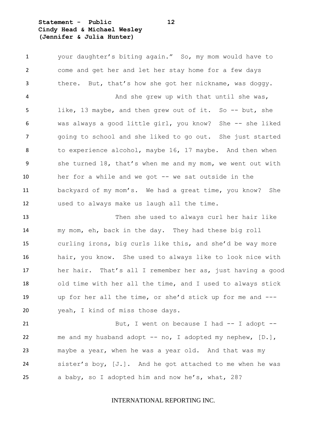# **Statement - Public 12 Cindy Head & Michael Wesley (Jennifer & Julia Hunter)**

 your daughter's biting again." So, my mom would have to come and get her and let her stay home for a few days there. But, that's how she got her nickname, was doggy. And she grew up with that until she was, like, 13 maybe, and then grew out of it. So -- but, she was always a good little girl, you know? She -- she liked going to school and she liked to go out. She just started to experience alcohol, maybe 16, 17 maybe. And then when she turned 18, that's when me and my mom, we went out with her for a while and we got -- we sat outside in the backyard of my mom's. We had a great time, you know? She used to always make us laugh all the time.

 Then she used to always curl her hair like my mom, eh, back in the day. They had these big roll curling irons, big curls like this, and she'd be way more hair, you know. She used to always like to look nice with her hair. That's all I remember her as, just having a good old time with her all the time, and I used to always stick up for her all the time, or she'd stick up for me and --- yeah, I kind of miss those days.

21 But, I went on because I had -- I adopt --22 me and my husband adopt -- no, I adopted my nephew, [D.], maybe a year, when he was a year old. And that was my sister's boy, [J.]. And he got attached to me when he was a baby, so I adopted him and now he's, what, 28?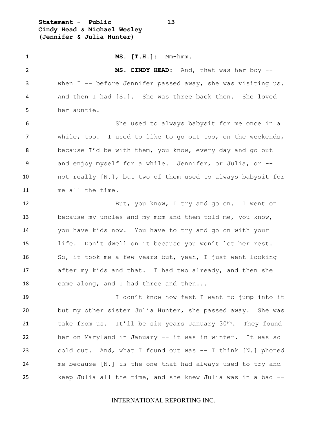**Statement - Public 13 Cindy Head & Michael Wesley (Jennifer & Julia Hunter)**

 **MS. [T.H.]**: Mm-hmm. **MS. CINDY HEAD:** And, that was her boy -- when I -- before Jennifer passed away, she was visiting us. And then I had [S.]. She was three back then. She loved her auntie. She used to always babysit for me once in a while, too. I used to like to go out too, on the weekends, because I'd be with them, you know, every day and go out and enjoy myself for a while. Jennifer, or Julia, or -- not really [N.], but two of them used to always babysit for me all the time. 12 But, you know, I try and go on. I went on because my uncles and my mom and them told me, you know, you have kids now. You have to try and go on with your life. Don't dwell on it because you won't let her rest. So, it took me a few years but, yeah, I just went looking after my kids and that. I had two already, and then she 18 came along, and I had three and then... I don't know how fast I want to jump into it but my other sister Julia Hunter, she passed away. She was 21 take from us. It'll be six years January  $30<sup>th</sup>$ . They found her on Maryland in January -- it was in winter. It was so cold out. And, what I found out was -- I think [N.] phoned me because [N.] is the one that had always used to try and keep Julia all the time, and she knew Julia was in a bad --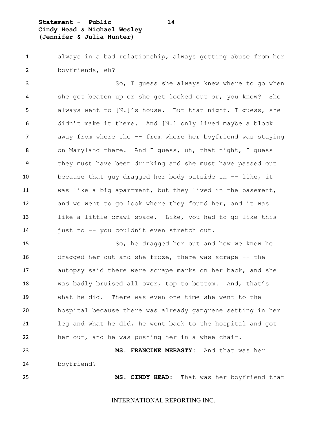**Statement - Public 14 Cindy Head & Michael Wesley (Jennifer & Julia Hunter)**

 always in a bad relationship, always getting abuse from her boyfriends, eh?

 So, I guess she always knew where to go when she got beaten up or she get locked out or, you know? She always went to [N.]'s house. But that night, I guess, she didn't make it there. And [N.] only lived maybe a block away from where she -- from where her boyfriend was staying on Maryland there. And I guess, uh, that night, I guess they must have been drinking and she must have passed out because that guy dragged her body outside in -- like, it was like a big apartment, but they lived in the basement, and we went to go look where they found her, and it was like a little crawl space. Like, you had to go like this just to -- you couldn't even stretch out.

 So, he dragged her out and how we knew he dragged her out and she froze, there was scrape -- the autopsy said there were scrape marks on her back, and she was badly bruised all over, top to bottom. And, that's what he did. There was even one time she went to the hospital because there was already gangrene setting in her leg and what he did, he went back to the hospital and got her out, and he was pushing her in a wheelchair.

 **MS. FRANCINE MERASTY:** And that was her boyfriend?

**MS. CINDY HEAD:** That was her boyfriend that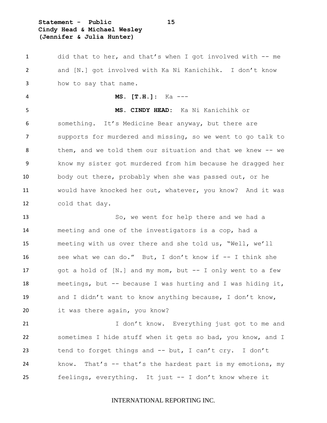**Statement - Public 15 Cindy Head & Michael Wesley (Jennifer & Julia Hunter)**

 did that to her, and that's when I got involved with -- me and [N.] got involved with Ka Ni Kanichihk. I don't know how to say that name.

**MS. [T.H.]**: Ka ---

 **MS. CINDY HEAD:** Ka Ni Kanichihk or something. It's Medicine Bear anyway, but there are supports for murdered and missing, so we went to go talk to them, and we told them our situation and that we knew -- we know my sister got murdered from him because he dragged her body out there, probably when she was passed out, or he would have knocked her out, whatever, you know? And it was cold that day.

 So, we went for help there and we had a meeting and one of the investigators is a cop, had a meeting with us over there and she told us, "Well, we'll see what we can do." But, I don't know if -- I think she 17 got a hold of [N.] and my mom, but -- I only went to a few meetings, but -- because I was hurting and I was hiding it, and I didn't want to know anything because, I don't know, it was there again, you know?

 I don't know. Everything just got to me and sometimes I hide stuff when it gets so bad, you know, and I tend to forget things and -- but, I can't cry. I don't know. That's -- that's the hardest part is my emotions, my feelings, everything. It just -- I don't know where it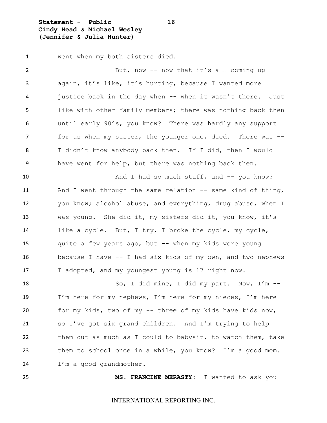**Statement - Public 16 Cindy Head & Michael Wesley (Jennifer & Julia Hunter)**

went when my both sisters died.

2 But, now -- now that it's all coming up again, it's like, it's hurting, because I wanted more justice back in the day when -- when it wasn't there. Just like with other family members; there was nothing back then until early 90's, you know? There was hardly any support for us when my sister, the younger one, died. There was -- I didn't know anybody back then. If I did, then I would have went for help, but there was nothing back then. 10 And I had so much stuff, and -- you know? And I went through the same relation -- same kind of thing, you know; alcohol abuse, and everything, drug abuse, when I was young. She did it, my sisters did it, you know, it's like a cycle. But, I try, I broke the cycle, my cycle, quite a few years ago, but -- when my kids were young because I have -- I had six kids of my own, and two nephews 17 I adopted, and my youngest young is 17 right now. So, I did mine, I did my part. Now, I'm -- I'm here for my nephews, I'm here for my nieces, I'm here for my kids, two of my -- three of my kids have kids now, so I've got six grand children. And I'm trying to help them out as much as I could to babysit, to watch them, take them to school once in a while, you know? I'm a good mom. 24 I'm a good grandmother.

**MS. FRANCINE MERASTY:** I wanted to ask you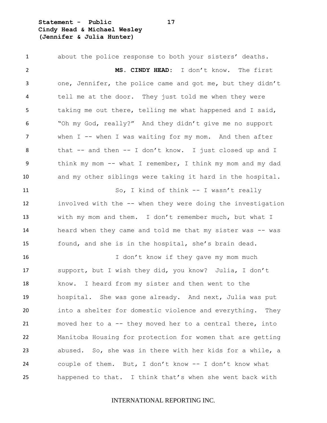**Statement - Public 17 Cindy Head & Michael Wesley (Jennifer & Julia Hunter)**

 about the police response to both your sisters' deaths. **MS. CINDY HEAD:** I don't know. The first one, Jennifer, the police came and got me, but they didn't tell me at the door. They just told me when they were taking me out there, telling me what happened and I said, "Oh my God, really?" And they didn't give me no support 7 when I -- when I was waiting for my mom. And then after that -- and then -- I don't know. I just closed up and I think my mom -- what I remember, I think my mom and my dad and my other siblings were taking it hard in the hospital. So, I kind of think -- I wasn't really involved with the -- when they were doing the investigation with my mom and them. I don't remember much, but what I 14 heard when they came and told me that my sister was -- was found, and she is in the hospital, she's brain dead. 16 I don't know if they gave my mom much support, but I wish they did, you know? Julia, I don't know. I heard from my sister and then went to the hospital. She was gone already. And next, Julia was put into a shelter for domestic violence and everything. They moved her to a -- they moved her to a central there, into Manitoba Housing for protection for women that are getting abused. So, she was in there with her kids for a while, a couple of them. But, I don't know -- I don't know what happened to that. I think that's when she went back with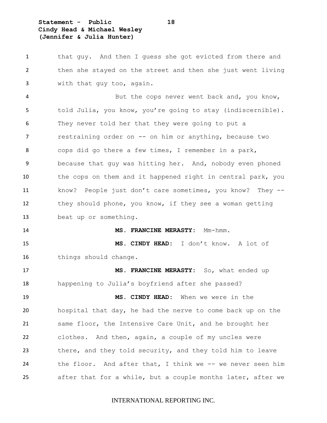# **Statement - Public 18 Cindy Head & Michael Wesley (Jennifer & Julia Hunter)**

 that guy. And then I guess she got evicted from there and then she stayed on the street and then she just went living with that guy too, again.

4 But the cops never went back and, you know, told Julia, you know, you're going to stay (indiscernible). They never told her that they were going to put a 7 restraining order on -- on him or anything, because two cops did go there a few times, I remember in a park, because that guy was hitting her. And, nobody even phoned 10 the cops on them and it happened right in central park, you know? People just don't care sometimes, you know? They -- they should phone, you know, if they see a woman getting beat up or something.

#### **MS. FRANCINE MERASTY:** Mm-hmm.

 **MS. CINDY HEAD:** I don't know. A lot of things should change.

 **MS. FRANCINE MERASTY:** So, what ended up happening to Julia's boyfriend after she passed?

 **MS. CINDY HEAD:** When we were in the hospital that day, he had the nerve to come back up on the same floor, the Intensive Care Unit, and he brought her clothes. And then, again, a couple of my uncles were there, and they told security, and they told him to leave the floor. And after that, I think we -- we never seen him after that for a while, but a couple months later, after we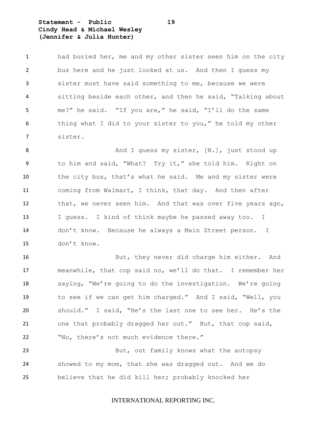**Statement - Public 19 Cindy Head & Michael Wesley (Jennifer & Julia Hunter)**

 had buried her, me and my other sister seen him on the city bus here and he just looked at us. And then I guess my sister must have said something to me, because we were sitting beside each other, and then he said, "Talking about me?" he said. "If you are," he said, "I'll do the same thing what I did to your sister to you," he told my other sister.

8 And I quess my sister, [N.], just stood up to him and said, "What? Try it," she told him. Right on the city bus, that's what he said. Me and my sister were coming from Walmart, I think, that day. And then after that, we never seen him. And that was over five years ago, I guess. I kind of think maybe he passed away too. I don't know. Because he always a Main Street person. I don't know.

 But, they never did charge him either. And meanwhile, that cop said no, we'll do that. I remember her saying, "We're going to do the investigation. We're going to see if we can get him charged." And I said, "Well, you should." I said, "He's the last one to see her. He's the one that probably dragged her out." But, that cop said, "No, there's not much evidence there."

 But, out family knows what the autopsy showed to my mom, that she was dragged out. And we do believe that he did kill her; probably knocked her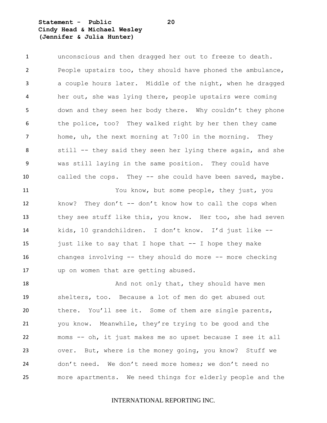**Statement - Public 20 Cindy Head & Michael Wesley (Jennifer & Julia Hunter)**

 unconscious and then dragged her out to freeze to death. People upstairs too, they should have phoned the ambulance, a couple hours later. Middle of the night, when he dragged her out, she was lying there, people upstairs were coming down and they seen her body there. Why couldn't they phone the police, too? They walked right by her then they came home, uh, the next morning at 7:00 in the morning. They still -- they said they seen her lying there again, and she was still laying in the same position. They could have called the cops. They -- she could have been saved, maybe. You know, but some people, they just, you 12 know? They don't -- don't know how to call the cops when they see stuff like this, you know. Her too, she had seven kids, 10 grandchildren. I don't know. I'd just like -- just like to say that I hope that -- I hope they make changes involving -- they should do more -- more checking

18 And not only that, they should have men shelters, too. Because a lot of men do get abused out 20 there. You'll see it. Some of them are single parents, you know. Meanwhile, they're trying to be good and the moms -- oh, it just makes me so upset because I see it all over. But, where is the money going, you know? Stuff we don't need. We don't need more homes; we don't need no more apartments. We need things for elderly people and the

up on women that are getting abused.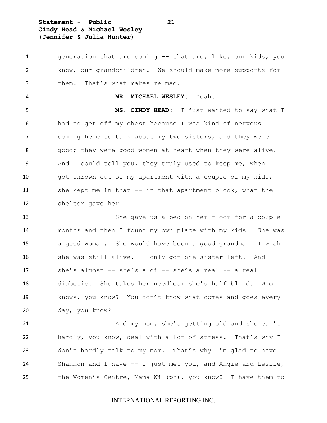**Statement - Public 21 Cindy Head & Michael Wesley (Jennifer & Julia Hunter)**

 generation that are coming -- that are, like, our kids, you know, our grandchildren. We should make more supports for them. That's what makes me mad. **MR. MICHAEL WESLEY:** Yeah. **MS. CINDY HEAD:** I just wanted to say what I had to get off my chest because I was kind of nervous coming here to talk about my two sisters, and they were 8 good; they were good women at heart when they were alive. And I could tell you, they truly used to keep me, when I got thrown out of my apartment with a couple of my kids, she kept me in that -- in that apartment block, what the shelter gave her. She gave us a bed on her floor for a couple months and then I found my own place with my kids. She was a good woman. She would have been a good grandma. I wish 16 she was still alive. I only got one sister left. And she's almost -- she's a di -- she's a real -- a real diabetic. She takes her needles; she's half blind. Who knows, you know? You don't know what comes and goes every day, you know? And my mom, she's getting old and she can't hardly, you know, deal with a lot of stress. That's why I don't hardly talk to my mom. That's why I'm glad to have Shannon and I have -- I just met you, and Angie and Leslie, the Women's Centre, Mama Wi (ph), you know? I have them to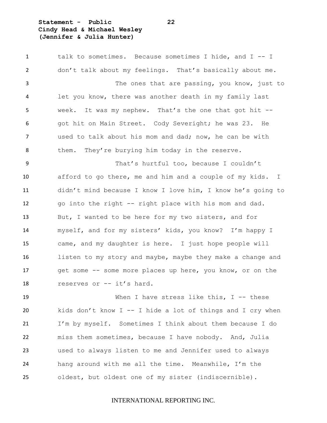# **Statement - Public 22 Cindy Head & Michael Wesley (Jennifer & Julia Hunter)**

 talk to sometimes. Because sometimes I hide, and I -- I don't talk about my feelings. That's basically about me. The ones that are passing, you know, just to let you know, there was another death in my family last week. It was my nephew. That's the one that got hit -- got hit on Main Street. Cody Severight; he was 23. He used to talk about his mom and dad; now, he can be with them. They're burying him today in the reserve. That's hurtful too, because I couldn't afford to go there, me and him and a couple of my kids. I didn't mind because I know I love him, I know he's going to go into the right -- right place with his mom and dad. But, I wanted to be here for my two sisters, and for myself, and for my sisters' kids, you know? I'm happy I came, and my daughter is here. I just hope people will listen to my story and maybe, maybe they make a change and 17 get some -- some more places up here, you know, or on the reserves or -- it's hard. 19 When I have stress like this, I -- these

 kids don't know I -- I hide a lot of things and I cry when I'm by myself. Sometimes I think about them because I do miss them sometimes, because I have nobody. And, Julia used to always listen to me and Jennifer used to always hang around with me all the time. Meanwhile, I'm the oldest, but oldest one of my sister (indiscernible).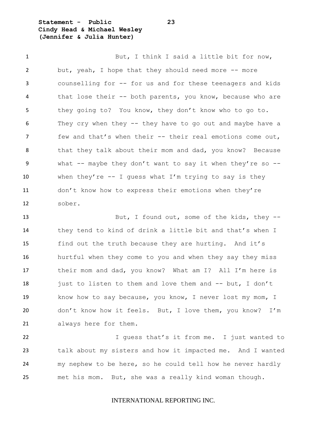**Statement - Public 23 Cindy Head & Michael Wesley (Jennifer & Julia Hunter)**

1 But, I think I said a little bit for now, but, yeah, I hope that they should need more -- more counselling for -- for us and for these teenagers and kids that lose their -- both parents, you know, because who are they going to? You know, they don't know who to go to. They cry when they -- they have to go out and maybe have a few and that's when their -- their real emotions come out, 8 that they talk about their mom and dad, you know? Because what -- maybe they don't want to say it when they're so -- when they're -- I guess what I'm trying to say is they don't know how to express their emotions when they're sober.

 But, I found out, some of the kids, they -- they tend to kind of drink a little bit and that's when I find out the truth because they are hurting. And it's hurtful when they come to you and when they say they miss their mom and dad, you know? What am I? All I'm here is 18 just to listen to them and love them and -- but, I don't know how to say because, you know, I never lost my mom, I don't know how it feels. But, I love them, you know? I'm always here for them.

**I** guess that's it from me. I just wanted to talk about my sisters and how it impacted me. And I wanted my nephew to be here, so he could tell how he never hardly met his mom. But, she was a really kind woman though.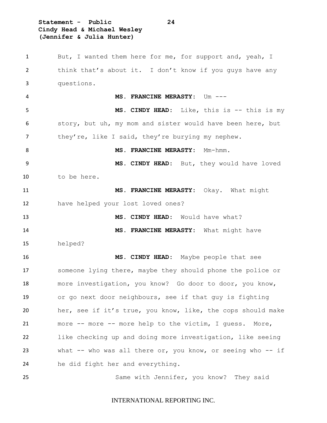**Statement - Public 24 Cindy Head & Michael Wesley (Jennifer & Julia Hunter)**

 But, I wanted them here for me, for support and, yeah, I think that's about it. I don't know if you guys have any questions. MS. FRANCINE MERASTY: Um ---5 MS. CINDY HEAD: Like, this is  $-$  this is my story, but uh, my mom and sister would have been here, but they're, like I said, they're burying my nephew. 8 MS. FRANCINE MERASTY: Mm-hmm. **MS. CINDY HEAD:** But, they would have loved to be here. **MS. FRANCINE MERASTY:** Okay. What might have helped your lost loved ones? **MS. CINDY HEAD:** Would have what? **MS. FRANCINE MERASTY:** What might have helped? **MS. CINDY HEAD:** Maybe people that see someone lying there, maybe they should phone the police or more investigation, you know? Go door to door, you know, or go next door neighbours, see if that guy is fighting her, see if it's true, you know, like, the cops should make more -- more -- more help to the victim, I guess. More, like checking up and doing more investigation, like seeing what -- who was all there or, you know, or seeing who -- if he did fight her and everything. Same with Jennifer, you know? They said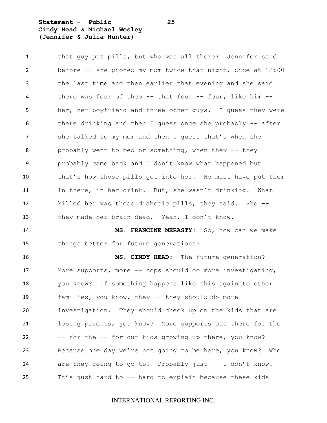# **Statement - Public 25 Cindy Head & Michael Wesley (Jennifer & Julia Hunter)**

 that guy put pills, but who was all there? Jennifer said before -- she phoned my mom twice that night, once at 12:00 the last time and then earlier that evening and she said 4 there was four of them -- that four -- four, like him -- her, her boyfriend and three other guys. I guess they were 6 there drinking and then I guess once she probably -- after 7 she talked to my mom and then I quess that's when she probably went to bed or something, when they -- they probably came back and I don't know what happened but that's how those pills got into her. He must have put them in there, in her drink. But, she wasn't drinking. What killed her was those diabetic pills, they said. She -- they made her brain dead. Yeah, I don't know. **MS. FRANCINE MERASTY:** So, how can we make

things better for future generations?

 **MS. CINDY HEAD:** The future generation? More supports, more -- cops should do more investigating, you know? If something happens like this again to other families, you know, they -- they should do more investigation. They should check up on the kids that are losing parents, you know? More supports out there for the -- for the -- for our kids growing up there, you know? Because one day we're not going to be here, you know? Who are they going to go to? Probably just -- I don't know. It's just hard to -- hard to explain because these kids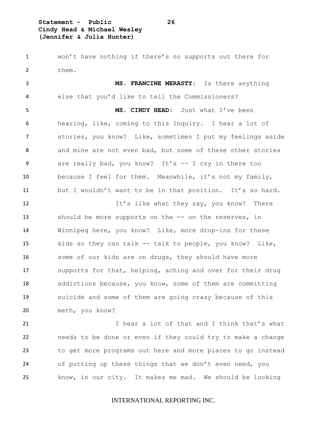**Statement - Public 26 Cindy Head & Michael Wesley (Jennifer & Julia Hunter)**

 won't have nothing if there's no supports out there for them.

 **MS. FRANCINE MERASTY:** Is there anything else that you'd like to tell the Commissioners? **MS. CINDY HEAD:** Just what I've been hearing, like, coming to this Inquiry. I hear a lot of stories, you know? Like, sometimes I put my feelings aside and mine are not even bad, but some of these other stories are really bad, you know? It's -- I cry in there too because I feel for them. Meanwhile, it's not my family, but I wouldn't want to be in that position. It's so hard.

12 It's like what they say, you know? There 13 should be more supports on the -- on the reserves, in Winnipeg here, you know? Like, more drop-ins for these kids so they can talk -- talk to people, you know? Like, 16 some of our kids are on drugs, they should have more supports for that, helping, aching and over for their drug 18 addictions because, you know, some of them are committing suicide and some of them are going crazy because of this meth, you know?

 I hear a lot of that and I think that's what needs to be done or even if they could try to make a change to get more programs out here and more places to go instead of putting up these things that we don't even need, you know, in our city. It makes me mad. We should be looking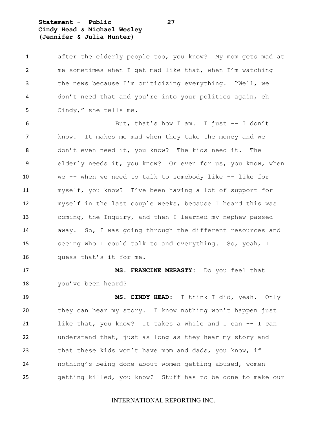**Statement - Public 27 Cindy Head & Michael Wesley (Jennifer & Julia Hunter)**

 after the elderly people too, you know? My mom gets mad at me sometimes when I get mad like that, when I'm watching the news because I'm criticizing everything. "Well, we don't need that and you're into your politics again, eh Cindy," she tells me.

 But, that's how I am. I just -- I don't know. It makes me mad when they take the money and we don't even need it, you know? The kids need it. The elderly needs it, you know? Or even for us, you know, when we -- when we need to talk to somebody like -- like for myself, you know? I've been having a lot of support for myself in the last couple weeks, because I heard this was coming, the Inquiry, and then I learned my nephew passed away. So, I was going through the different resources and seeing who I could talk to and everything. So, yeah, I guess that's it for me.

 **MS. FRANCINE MERASTY:** Do you feel that you've been heard?

 **MS. CINDY HEAD:** I think I did, yeah. Only they can hear my story. I know nothing won't happen just like that, you know? It takes a while and I can -- I can understand that, just as long as they hear my story and that these kids won't have mom and dads, you know, if nothing's being done about women getting abused, women getting killed, you know? Stuff has to be done to make our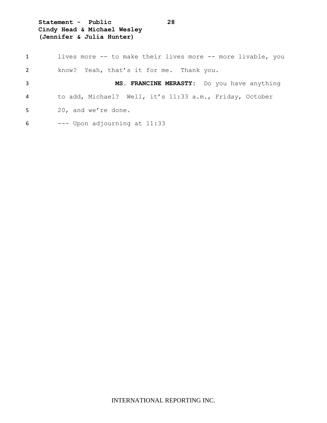**Statement - Public 28 Cindy Head & Michael Wesley (Jennifer & Julia Hunter)**

| 1              | lives more -- to make their lives more -- more livable, you |
|----------------|-------------------------------------------------------------|
| $\overline{2}$ | know? Yeah, that's it for me. Thank you.                    |
| 3              | MS. FRANCINE MERASTY: Do you have anything                  |
| 4              | to add, Michael? Well, it's 11:33 a.m., Friday, October     |
| 5              | 20, and we're done.                                         |
| 6              | --- Upon adjourning at 11:33                                |